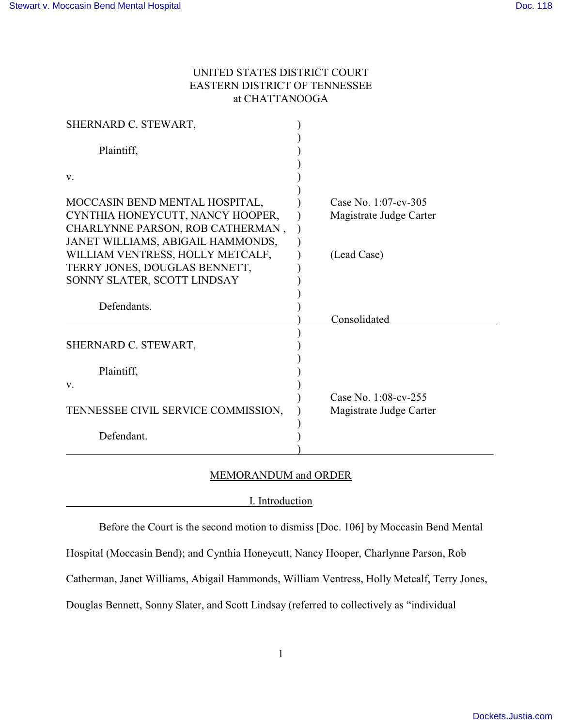# UNITED STATES DISTRICT COURT EASTERN DISTRICT OF TENNESSEE at CHATTANOOGA

| SHERNARD C. STEWART,                                                  |                         |
|-----------------------------------------------------------------------|-------------------------|
| Plaintiff,                                                            |                         |
| V.                                                                    |                         |
| MOCCASIN BEND MENTAL HOSPITAL,                                        | Case No. 1:07-cv-305    |
| CYNTHIA HONEYCUTT, NANCY HOOPER,                                      | Magistrate Judge Carter |
| CHARLYNNE PARSON, ROB CATHERMAN,                                      |                         |
| JANET WILLIAMS, ABIGAIL HAMMONDS,<br>WILLIAM VENTRESS, HOLLY METCALF, | (Lead Case)             |
| TERRY JONES, DOUGLAS BENNETT,                                         |                         |
| SONNY SLATER, SCOTT LINDSAY                                           |                         |
|                                                                       |                         |
| Defendants.                                                           |                         |
|                                                                       | Consolidated            |
| SHERNARD C. STEWART,                                                  |                         |
| Plaintiff,                                                            |                         |
| V.                                                                    |                         |
|                                                                       | Case No. 1:08-cv-255    |
| TENNESSEE CIVIL SERVICE COMMISSION,                                   | Magistrate Judge Carter |
| Defendant.                                                            |                         |
|                                                                       |                         |

# MEMORANDUM and ORDER

### I. Introduction

Before the Court is the second motion to dismiss [Doc. 106] by Moccasin Bend Mental

Hospital (Moccasin Bend); and Cynthia Honeycutt, Nancy Hooper, Charlynne Parson, Rob

Catherman, Janet Williams, Abigail Hammonds, William Ventress, Holly Metcalf, Terry Jones,

Douglas Bennett, Sonny Slater, and Scott Lindsay (referred to collectively as "individual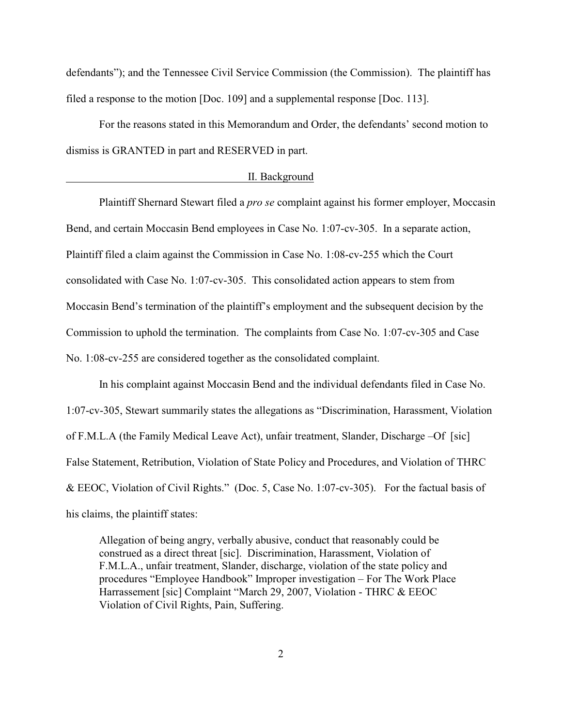defendants"); and the Tennessee Civil Service Commission (the Commission). The plaintiff has filed a response to the motion [Doc. 109] and a supplemental response [Doc. 113].

For the reasons stated in this Memorandum and Order, the defendants' second motion to dismiss is GRANTED in part and RESERVED in part.

#### II. Background

Plaintiff Shernard Stewart filed a *pro se* complaint against his former employer, Moccasin Bend, and certain Moccasin Bend employees in Case No. 1:07-cv-305. In a separate action, Plaintiff filed a claim against the Commission in Case No. 1:08-cv-255 which the Court consolidated with Case No. 1:07-cv-305. This consolidated action appears to stem from Moccasin Bend's termination of the plaintiff's employment and the subsequent decision by the Commission to uphold the termination. The complaints from Case No. 1:07-cv-305 and Case No. 1:08-cv-255 are considered together as the consolidated complaint.

In his complaint against Moccasin Bend and the individual defendants filed in Case No. 1:07-cv-305, Stewart summarily states the allegations as "Discrimination, Harassment, Violation of F.M.L.A (the Family Medical Leave Act), unfair treatment, Slander, Discharge –Of [sic] False Statement, Retribution, Violation of State Policy and Procedures, and Violation of THRC & EEOC, Violation of Civil Rights." (Doc. 5, Case No. 1:07-cv-305). For the factual basis of his claims, the plaintiff states:

Allegation of being angry, verbally abusive, conduct that reasonably could be construed as a direct threat [sic]. Discrimination, Harassment, Violation of F.M.L.A., unfair treatment, Slander, discharge, violation of the state policy and procedures "Employee Handbook" Improper investigation – For The Work Place Harrassement [sic] Complaint "March 29, 2007, Violation - THRC & EEOC Violation of Civil Rights, Pain, Suffering.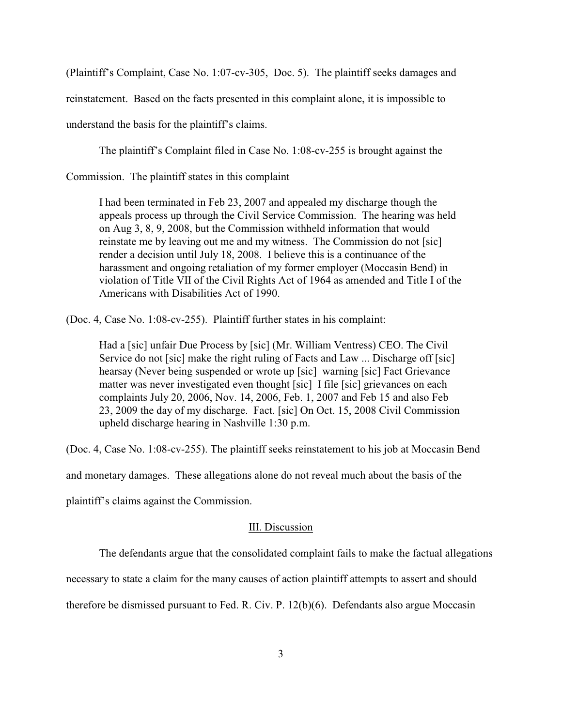(Plaintiff's Complaint, Case No. 1:07-cv-305, Doc. 5). The plaintiff seeks damages and

reinstatement. Based on the facts presented in this complaint alone, it is impossible to

understand the basis for the plaintiff's claims.

The plaintiff's Complaint filed in Case No. 1:08-cv-255 is brought against the

Commission. The plaintiff states in this complaint

I had been terminated in Feb 23, 2007 and appealed my discharge though the appeals process up through the Civil Service Commission. The hearing was held on Aug 3, 8, 9, 2008, but the Commission withheld information that would reinstate me by leaving out me and my witness. The Commission do not [sic] render a decision until July 18, 2008. I believe this is a continuance of the harassment and ongoing retaliation of my former employer (Moccasin Bend) in violation of Title VII of the Civil Rights Act of 1964 as amended and Title I of the Americans with Disabilities Act of 1990.

(Doc. 4, Case No. 1:08-cv-255). Plaintiff further states in his complaint:

Had a [sic] unfair Due Process by [sic] (Mr. William Ventress) CEO. The Civil Service do not [sic] make the right ruling of Facts and Law ... Discharge off [sic] hearsay (Never being suspended or wrote up [sic] warning [sic] Fact Grievance matter was never investigated even thought [sic] I file [sic] grievances on each complaints July 20, 2006, Nov. 14, 2006, Feb. 1, 2007 and Feb 15 and also Feb 23, 2009 the day of my discharge. Fact. [sic] On Oct. 15, 2008 Civil Commission upheld discharge hearing in Nashville 1:30 p.m.

(Doc. 4, Case No. 1:08-cv-255). The plaintiff seeks reinstatement to his job at Moccasin Bend

and monetary damages. These allegations alone do not reveal much about the basis of the

plaintiff's claims against the Commission.

### III. Discussion

The defendants argue that the consolidated complaint fails to make the factual allegations

necessary to state a claim for the many causes of action plaintiff attempts to assert and should

therefore be dismissed pursuant to Fed. R. Civ. P. 12(b)(6). Defendants also argue Moccasin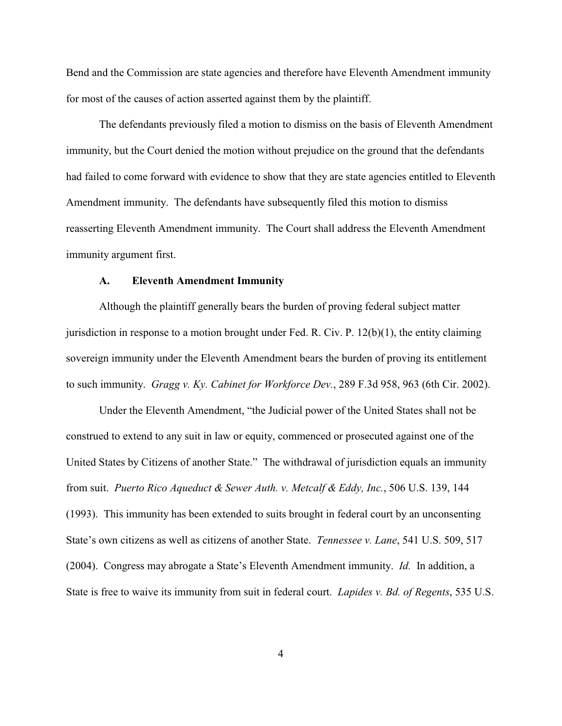Bend and the Commission are state agencies and therefore have Eleventh Amendment immunity for most of the causes of action asserted against them by the plaintiff.

The defendants previously filed a motion to dismiss on the basis of Eleventh Amendment immunity, but the Court denied the motion without prejudice on the ground that the defendants had failed to come forward with evidence to show that they are state agencies entitled to Eleventh Amendment immunity. The defendants have subsequently filed this motion to dismiss reasserting Eleventh Amendment immunity. The Court shall address the Eleventh Amendment immunity argument first.

#### **A. Eleventh Amendment Immunity**

Although the plaintiff generally bears the burden of proving federal subject matter jurisdiction in response to a motion brought under Fed. R. Civ. P. 12(b)(1), the entity claiming sovereign immunity under the Eleventh Amendment bears the burden of proving its entitlement to such immunity. *Gragg v. Ky. Cabinet for Workforce Dev.*, 289 F.3d 958, 963 (6th Cir. 2002).

Under the Eleventh Amendment, "the Judicial power of the United States shall not be construed to extend to any suit in law or equity, commenced or prosecuted against one of the United States by Citizens of another State." The withdrawal of jurisdiction equals an immunity from suit. *Puerto Rico Aqueduct & Sewer Auth. v. Metcalf & Eddy, Inc.*, 506 U.S. 139, 144 (1993). This immunity has been extended to suits brought in federal court by an unconsenting State's own citizens as well as citizens of another State. *Tennessee v. Lane*, 541 U.S. 509, 517 (2004). Congress may abrogate a State's Eleventh Amendment immunity. *Id.* In addition, a State is free to waive its immunity from suit in federal court. *Lapides v. Bd. of Regents*, 535 U.S.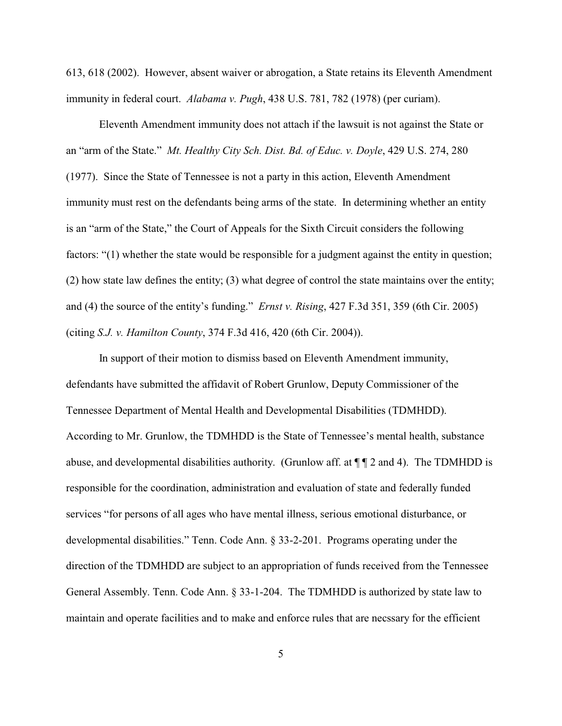613, 618 (2002). However, absent waiver or abrogation, a State retains its Eleventh Amendment immunity in federal court. *Alabama v. Pugh*, 438 U.S. 781, 782 (1978) (per curiam).

Eleventh Amendment immunity does not attach if the lawsuit is not against the State or an "arm of the State." *Mt. Healthy City Sch. Dist. Bd. of Educ. v. Doyle*, 429 U.S. 274, 280 (1977). Since the State of Tennessee is not a party in this action, Eleventh Amendment immunity must rest on the defendants being arms of the state. In determining whether an entity is an "arm of the State," the Court of Appeals for the Sixth Circuit considers the following factors: "(1) whether the state would be responsible for a judgment against the entity in question; (2) how state law defines the entity; (3) what degree of control the state maintains over the entity; and (4) the source of the entity's funding." *Ernst v. Rising*, 427 F.3d 351, 359 (6th Cir. 2005) (citing *S.J. v. Hamilton County*, 374 F.3d 416, 420 (6th Cir. 2004)).

In support of their motion to dismiss based on Eleventh Amendment immunity, defendants have submitted the affidavit of Robert Grunlow, Deputy Commissioner of the Tennessee Department of Mental Health and Developmental Disabilities (TDMHDD). According to Mr. Grunlow, the TDMHDD is the State of Tennessee's mental health, substance abuse, and developmental disabilities authority. (Grunlow aff. at  $\P$   $\P$  2 and 4). The TDMHDD is responsible for the coordination, administration and evaluation of state and federally funded services "for persons of all ages who have mental illness, serious emotional disturbance, or developmental disabilities." Tenn. Code Ann. § 33-2-201. Programs operating under the direction of the TDMHDD are subject to an appropriation of funds received from the Tennessee General Assembly. Tenn. Code Ann. § 33-1-204. The TDMHDD is authorized by state law to maintain and operate facilities and to make and enforce rules that are necssary for the efficient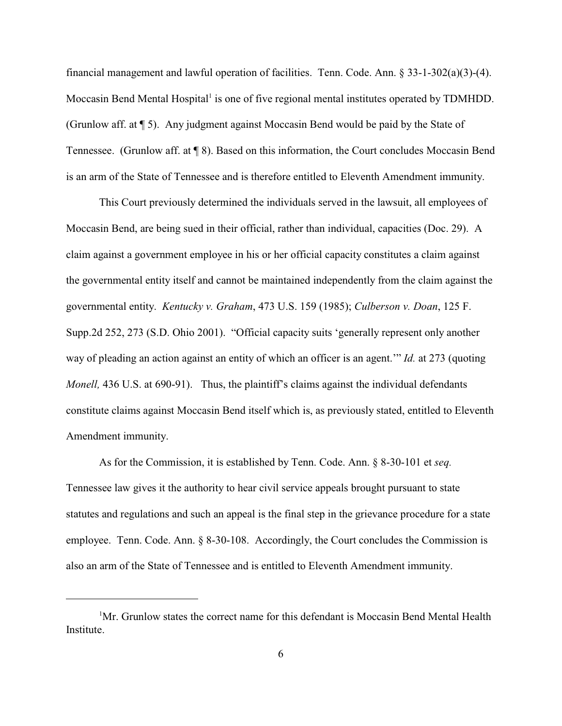financial management and lawful operation of facilities. Tenn. Code. Ann. § 33-1-302(a)(3)-(4). Moccasin Bend Mental Hospital<sup>1</sup> is one of five regional mental institutes operated by TDMHDD. (Grunlow aff. at  $\P$  5). Any judgment against Moccasin Bend would be paid by the State of Tennessee. (Grunlow aff. at ¶ 8). Based on this information, the Court concludes Moccasin Bend is an arm of the State of Tennessee and is therefore entitled to Eleventh Amendment immunity.

This Court previously determined the individuals served in the lawsuit, all employees of Moccasin Bend, are being sued in their official, rather than individual, capacities (Doc. 29). A claim against a government employee in his or her official capacity constitutes a claim against the governmental entity itself and cannot be maintained independently from the claim against the governmental entity. *Kentucky v. Graham*, 473 U.S. 159 (1985); *Culberson v. Doan*, 125 F. Supp.2d 252, 273 (S.D. Ohio 2001). "Official capacity suits 'generally represent only another way of pleading an action against an entity of which an officer is an agent.'" *Id.* at 273 (quoting *Monell*, 436 U.S. at 690-91). Thus, the plaintiff's claims against the individual defendants constitute claims against Moccasin Bend itself which is, as previously stated, entitled to Eleventh Amendment immunity.

As for the Commission, it is established by Tenn. Code. Ann. § 8-30-101 et *seq.* Tennessee law gives it the authority to hear civil service appeals brought pursuant to state statutes and regulations and such an appeal is the final step in the grievance procedure for a state employee. Tenn. Code. Ann. § 8-30-108. Accordingly, the Court concludes the Commission is also an arm of the State of Tennessee and is entitled to Eleventh Amendment immunity.

 ${}^{1}$ Mr. Grunlow states the correct name for this defendant is Moccasin Bend Mental Health Institute.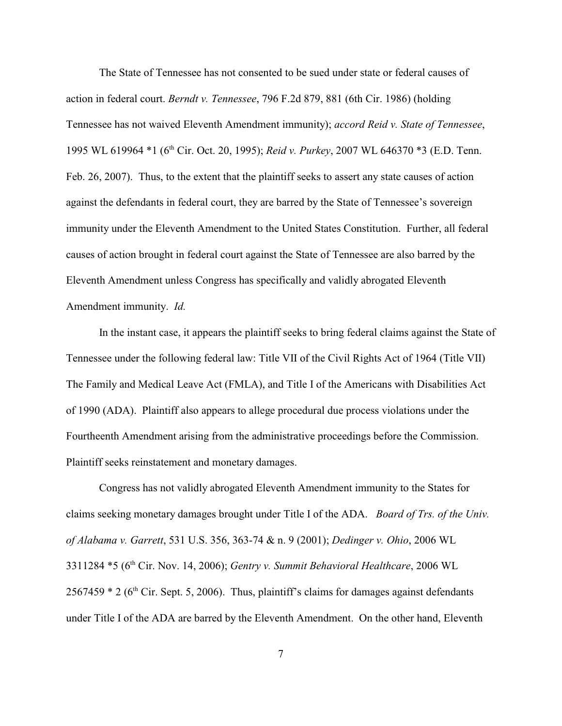The State of Tennessee has not consented to be sued under state or federal causes of action in federal court. *Berndt v. Tennessee*, 796 F.2d 879, 881 (6th Cir. 1986) (holding Tennessee has not waived Eleventh Amendment immunity); *accord Reid v. State of Tennessee*, 1995 WL 619964 \*1 (6<sup>th</sup> Cir. Oct. 20, 1995); *Reid v. Purkey*, 2007 WL 646370 \*3 (E.D. Tenn. Feb. 26, 2007). Thus, to the extent that the plaintiff seeks to assert any state causes of action against the defendants in federal court, they are barred by the State of Tennessee's sovereign immunity under the Eleventh Amendment to the United States Constitution. Further, all federal causes of action brought in federal court against the State of Tennessee are also barred by the Eleventh Amendment unless Congress has specifically and validly abrogated Eleventh Amendment immunity. *Id.*

In the instant case, it appears the plaintiff seeks to bring federal claims against the State of Tennessee under the following federal law: Title VII of the Civil Rights Act of 1964 (Title VII) The Family and Medical Leave Act (FMLA), and Title I of the Americans with Disabilities Act of 1990 (ADA). Plaintiff also appears to allege procedural due process violations under the Fourtheenth Amendment arising from the administrative proceedings before the Commission. Plaintiff seeks reinstatement and monetary damages.

Congress has not validly abrogated Eleventh Amendment immunity to the States for claims seeking monetary damages brought under Title I of the ADA. *Board of Trs. of the Univ. of Alabama v. Garrett*, 531 U.S. 356, 363-74 & n. 9 (2001); *Dedinger v. Ohio*, 2006 WL 3311284 \*5 (6<sup>th</sup> Cir. Nov. 14, 2006); *Gentry v. Summit Behavioral Healthcare*, 2006 WL  $2567459 * 2$  (6<sup>th</sup> Cir. Sept. 5, 2006). Thus, plaintiff's claims for damages against defendants under Title I of the ADA are barred by the Eleventh Amendment. On the other hand, Eleventh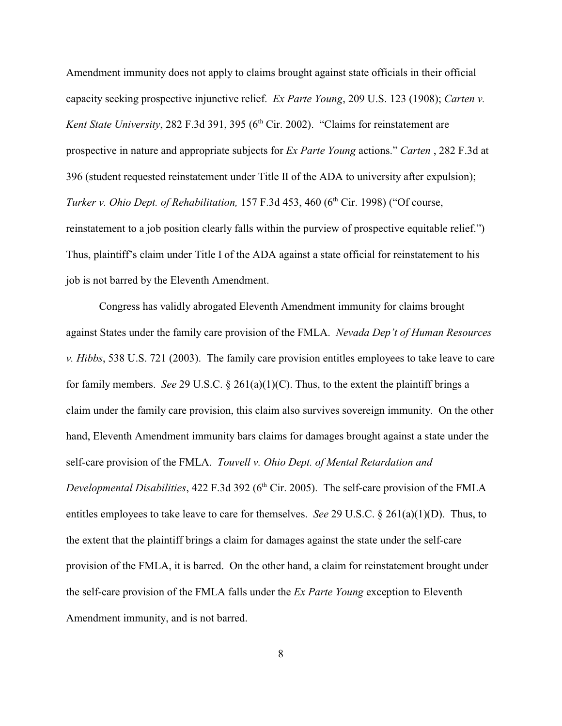Amendment immunity does not apply to claims brought against state officials in their official capacity seeking prospective injunctive relief. *Ex Parte Young*, 209 U.S. 123 (1908); *Carten v. Kent State University*, 282 F.3d 391, 395 (6<sup>th</sup> Cir. 2002). "Claims for reinstatement are prospective in nature and appropriate subjects for *Ex Parte Young* actions." *Carten* , 282 F.3d at 396 (student requested reinstatement under Title II of the ADA to university after expulsion); *Turker v. Ohio Dept. of Rehabilitation,* 157 F.3d 453, 460 (6<sup>th</sup> Cir. 1998) ("Of course, reinstatement to a job position clearly falls within the purview of prospective equitable relief.") Thus, plaintiff's claim under Title I of the ADA against a state official for reinstatement to his job is not barred by the Eleventh Amendment.

Congress has validly abrogated Eleventh Amendment immunity for claims brought against States under the family care provision of the FMLA. *Nevada Dep't of Human Resources v. Hibbs*, 538 U.S. 721 (2003). The family care provision entitles employees to take leave to care for family members. *See* 29 U.S.C. § 261(a)(1)(C). Thus, to the extent the plaintiff brings a claim under the family care provision, this claim also survives sovereign immunity. On the other hand, Eleventh Amendment immunity bars claims for damages brought against a state under the self-care provision of the FMLA. *Touvell v. Ohio Dept. of Mental Retardation and Developmental Disabilities*, 422 F.3d 392 (6<sup>th</sup> Cir. 2005). The self-care provision of the FMLA entitles employees to take leave to care for themselves. *See* 29 U.S.C. § 261(a)(1)(D). Thus, to the extent that the plaintiff brings a claim for damages against the state under the self-care provision of the FMLA, it is barred. On the other hand, a claim for reinstatement brought under the self-care provision of the FMLA falls under the *Ex Parte Young* exception to Eleventh Amendment immunity, and is not barred.

8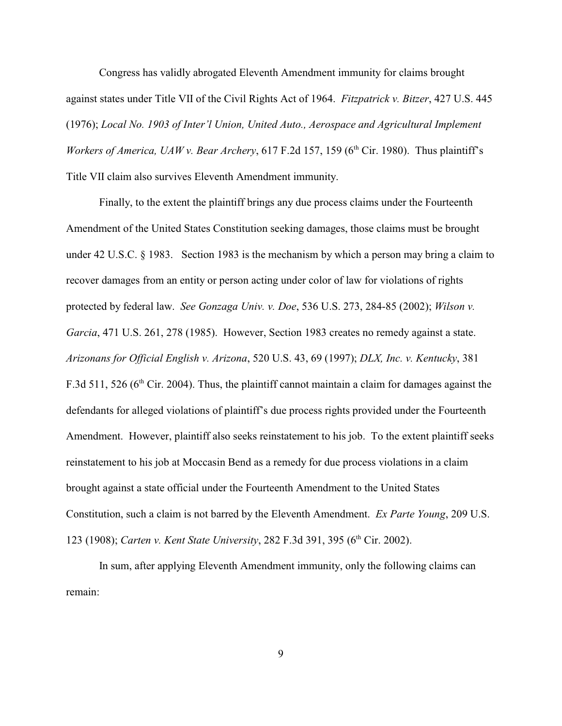Congress has validly abrogated Eleventh Amendment immunity for claims brought against states under Title VII of the Civil Rights Act of 1964. *Fitzpatrick v. Bitzer*, 427 U.S. 445 (1976); *Local No. 1903 of Inter'l Union, United Auto., Aerospace and Agricultural Implement Workers of America, UAW v. Bear Archery,* 617 F.2d 157, 159 ( $6<sup>th</sup>$  Cir. 1980). Thus plaintiff's Title VII claim also survives Eleventh Amendment immunity.

Finally, to the extent the plaintiff brings any due process claims under the Fourteenth Amendment of the United States Constitution seeking damages, those claims must be brought under 42 U.S.C. § 1983. Section 1983 is the mechanism by which a person may bring a claim to recover damages from an entity or person acting under color of law for violations of rights protected by federal law. *See Gonzaga Univ. v. Doe*, 536 U.S. 273, 284-85 (2002); *Wilson v. Garcia*, 471 U.S. 261, 278 (1985). However, Section 1983 creates no remedy against a state. *Arizonans for Official English v. Arizona*, 520 U.S. 43, 69 (1997); *DLX, Inc. v. Kentucky*, 381 F.3d 511, 526 ( $6<sup>th</sup>$  Cir. 2004). Thus, the plaintiff cannot maintain a claim for damages against the defendants for alleged violations of plaintiff's due process rights provided under the Fourteenth Amendment. However, plaintiff also seeks reinstatement to his job. To the extent plaintiff seeks reinstatement to his job at Moccasin Bend as a remedy for due process violations in a claim brought against a state official under the Fourteenth Amendment to the United States Constitution, such a claim is not barred by the Eleventh Amendment. *Ex Parte Young*, 209 U.S. 123 (1908); *Carten v. Kent State University*, 282 F.3d 391, 395 (6<sup>th</sup> Cir. 2002).

In sum, after applying Eleventh Amendment immunity, only the following claims can remain: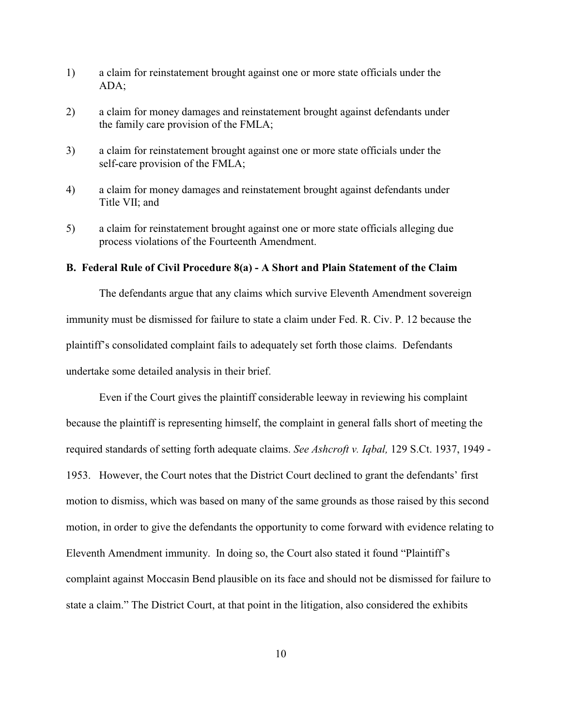- 1) a claim for reinstatement brought against one or more state officials under the ADA;
- 2) a claim for money damages and reinstatement brought against defendants under the family care provision of the FMLA;
- 3) a claim for reinstatement brought against one or more state officials under the self-care provision of the FMLA;
- 4) a claim for money damages and reinstatement brought against defendants under Title VII; and
- 5) a claim for reinstatement brought against one or more state officials alleging due process violations of the Fourteenth Amendment.

# **B. Federal Rule of Civil Procedure 8(a) - A Short and Plain Statement of the Claim**

The defendants argue that any claims which survive Eleventh Amendment sovereign immunity must be dismissed for failure to state a claim under Fed. R. Civ. P. 12 because the plaintiff's consolidated complaint fails to adequately set forth those claims. Defendants undertake some detailed analysis in their brief.

Even if the Court gives the plaintiff considerable leeway in reviewing his complaint because the plaintiff is representing himself, the complaint in general falls short of meeting the required standards of setting forth adequate claims. *See Ashcroft v. Iqbal,* 129 S.Ct. 1937, 1949 - 1953. However, the Court notes that the District Court declined to grant the defendants' first motion to dismiss, which was based on many of the same grounds as those raised by this second motion, in order to give the defendants the opportunity to come forward with evidence relating to Eleventh Amendment immunity. In doing so, the Court also stated it found "Plaintiff's complaint against Moccasin Bend plausible on its face and should not be dismissed for failure to state a claim." The District Court, at that point in the litigation, also considered the exhibits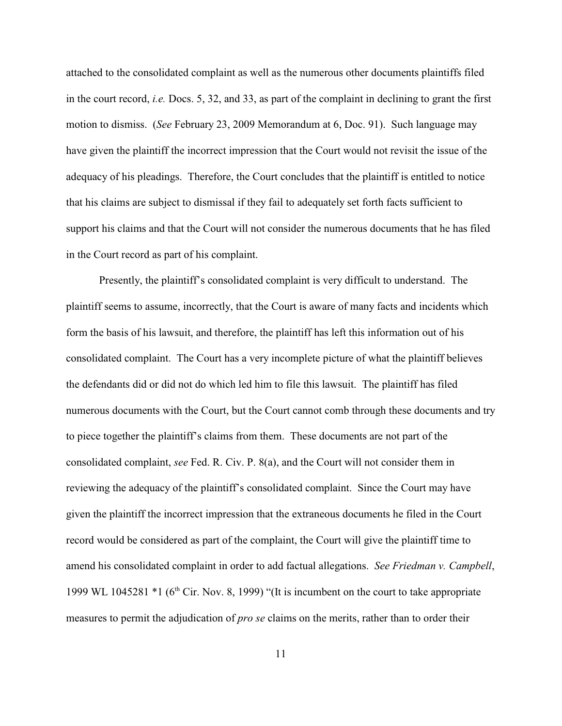attached to the consolidated complaint as well as the numerous other documents plaintiffs filed in the court record, *i.e.* Docs. 5, 32, and 33, as part of the complaint in declining to grant the first motion to dismiss. (*See* February 23, 2009 Memorandum at 6, Doc. 91). Such language may have given the plaintiff the incorrect impression that the Court would not revisit the issue of the adequacy of his pleadings. Therefore, the Court concludes that the plaintiff is entitled to notice that his claims are subject to dismissal if they fail to adequately set forth facts sufficient to support his claims and that the Court will not consider the numerous documents that he has filed in the Court record as part of his complaint.

Presently, the plaintiff's consolidated complaint is very difficult to understand. The plaintiff seems to assume, incorrectly, that the Court is aware of many facts and incidents which form the basis of his lawsuit, and therefore, the plaintiff has left this information out of his consolidated complaint. The Court has a very incomplete picture of what the plaintiff believes the defendants did or did not do which led him to file this lawsuit. The plaintiff has filed numerous documents with the Court, but the Court cannot comb through these documents and try to piece together the plaintiff's claims from them. These documents are not part of the consolidated complaint, *see* Fed. R. Civ. P. 8(a), and the Court will not consider them in reviewing the adequacy of the plaintiff's consolidated complaint. Since the Court may have given the plaintiff the incorrect impression that the extraneous documents he filed in the Court record would be considered as part of the complaint, the Court will give the plaintiff time to amend his consolidated complaint in order to add factual allegations. *See Friedman v. Campbell*, 1999 WL 1045281  $*1$  (6<sup>th</sup> Cir. Nov. 8, 1999) "(It is incumbent on the court to take appropriate measures to permit the adjudication of *pro se* claims on the merits, rather than to order their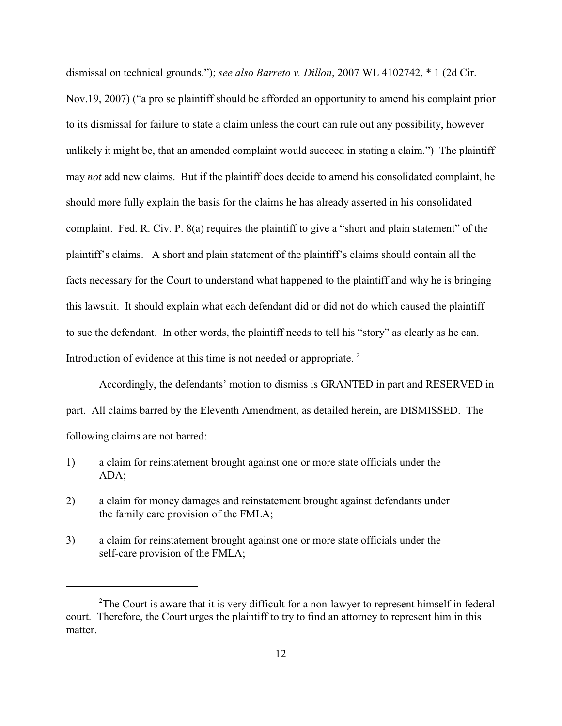dismissal on technical grounds."); *see also Barreto v. Dillon*, 2007 WL 4102742, \* 1 (2d Cir. Nov.19, 2007) ("a pro se plaintiff should be afforded an opportunity to amend his complaint prior to its dismissal for failure to state a claim unless the court can rule out any possibility, however unlikely it might be, that an amended complaint would succeed in stating a claim.") The plaintiff may *not* add new claims. But if the plaintiff does decide to amend his consolidated complaint, he should more fully explain the basis for the claims he has already asserted in his consolidated complaint. Fed. R. Civ. P. 8(a) requires the plaintiff to give a "short and plain statement" of the plaintiff's claims. A short and plain statement of the plaintiff's claims should contain all the facts necessary for the Court to understand what happened to the plaintiff and why he is bringing this lawsuit. It should explain what each defendant did or did not do which caused the plaintiff to sue the defendant. In other words, the plaintiff needs to tell his "story" as clearly as he can. Introduction of evidence at this time is not needed or appropriate.<sup>2</sup>

Accordingly, the defendants' motion to dismiss is GRANTED in part and RESERVED in part. All claims barred by the Eleventh Amendment, as detailed herein, are DISMISSED. The following claims are not barred:

- 1) a claim for reinstatement brought against one or more state officials under the ADA;
- 2) a claim for money damages and reinstatement brought against defendants under the family care provision of the FMLA;
- 3) a claim for reinstatement brought against one or more state officials under the self-care provision of the FMLA;

<sup>&</sup>lt;sup>2</sup>The Court is aware that it is very difficult for a non-lawyer to represent himself in federal court. Therefore, the Court urges the plaintiff to try to find an attorney to represent him in this matter.